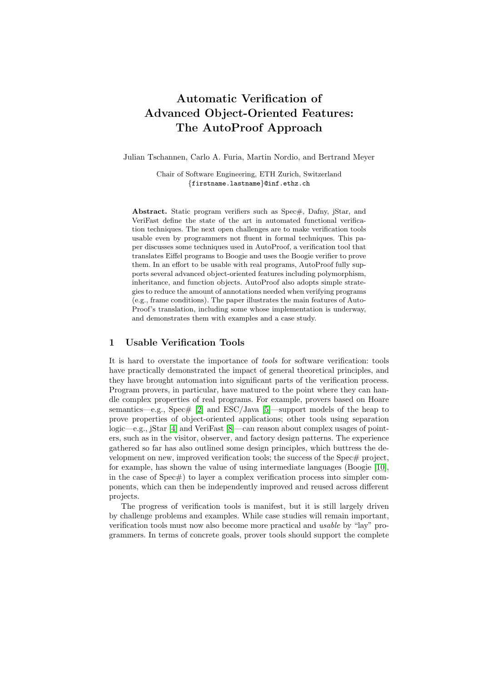# Automatic Verification of Advanced Object-Oriented Features: The AutoProof Approach

Julian Tschannen, Carlo A. Furia, Martin Nordio, and Bertrand Meyer

Chair of Software Engineering, ETH Zurich, Switzerland {firstname.lastname}@inf.ethz.ch

Abstract. Static program verifiers such as Spec#, Dafny, jStar, and VeriFast define the state of the art in automated functional verification techniques. The next open challenges are to make verification tools usable even by programmers not fluent in formal techniques. This paper discusses some techniques used in AutoProof, a verification tool that translates Eiffel programs to Boogie and uses the Boogie verifier to prove them. In an effort to be usable with real programs, AutoProof fully supports several advanced object-oriented features including polymorphism, inheritance, and function objects. AutoProof also adopts simple strategies to reduce the amount of annotations needed when verifying programs (e.g., frame conditions). The paper illustrates the main features of Auto-Proof's translation, including some whose implementation is underway, and demonstrates them with examples and a case study.

## 1 Usable Verification Tools

It is hard to overstate the importance of tools for software verification: tools have practically demonstrated the impact of general theoretical principles, and they have brought automation into significant parts of the verification process. Program provers, in particular, have matured to the point where they can handle complex properties of real programs. For example, provers based on Hoare semantics—e.g., Spec#  $[2]$  and ESC/Java  $[5]$ —support models of the heap to prove properties of object-oriented applications; other tools using separation logic—e.g., jStar [\[4\]](#page-21-2) and VeriFast [\[8\]](#page-21-3)—can reason about complex usages of pointers, such as in the visitor, observer, and factory design patterns. The experience gathered so far has also outlined some design principles, which buttress the development on new, improved verification tools; the success of the Spec# project, for example, has shown the value of using intermediate languages (Boogie [\[10\]](#page-21-4), in the case of Spec#) to layer a complex verification process into simpler components, which can then be independently improved and reused across different projects.

The progress of verification tools is manifest, but it is still largely driven by challenge problems and examples. While case studies will remain important, verification tools must now also become more practical and usable by "lay" programmers. In terms of concrete goals, prover tools should support the complete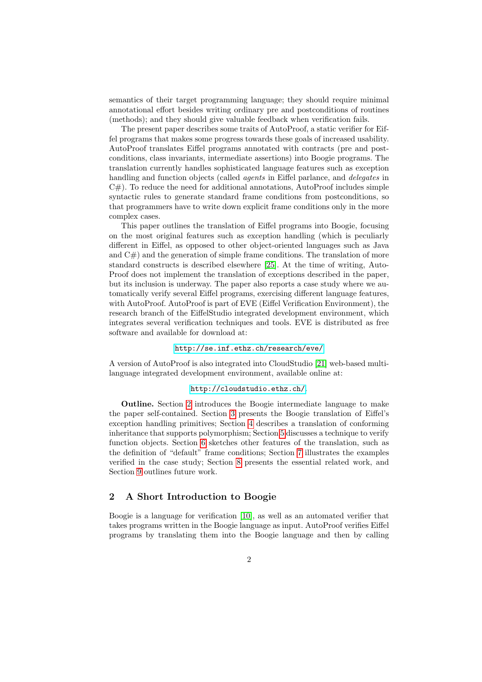semantics of their target programming language; they should require minimal annotational effort besides writing ordinary pre and postconditions of routines (methods); and they should give valuable feedback when verification fails.

The present paper describes some traits of AutoProof, a static verifier for Eiffel programs that makes some progress towards these goals of increased usability. AutoProof translates Eiffel programs annotated with contracts (pre and postconditions, class invariants, intermediate assertions) into Boogie programs. The translation currently handles sophisticated language features such as exception handling and function objects (called *agents* in Eiffel parlance, and *delegates* in  $C#$ ). To reduce the need for additional annotations, AutoProof includes simple syntactic rules to generate standard frame conditions from postconditions, so that programmers have to write down explicit frame conditions only in the more complex cases.

This paper outlines the translation of Eiffel programs into Boogie, focusing on the most original features such as exception handling (which is peculiarly different in Eiffel, as opposed to other object-oriented languages such as Java and  $C#$ ) and the generation of simple frame conditions. The translation of more standard constructs is described elsewhere [\[25\]](#page-22-0). At the time of writing, Auto-Proof does not implement the translation of exceptions described in the paper, but its inclusion is underway. The paper also reports a case study where we automatically verify several Eiffel programs, exercising different language features, with AutoProof. AutoProof is part of EVE (Eiffel Verification Environment), the research branch of the EiffelStudio integrated development environment, which integrates several verification techniques and tools. EVE is distributed as free software and available for download at:

#### <http://se.inf.ethz.ch/research/eve/>

A version of AutoProof is also integrated into CloudStudio [\[21\]](#page-22-1) web-based multilanguage integrated development environment, available online at:

## <http://cloudstudio.ethz.ch/>.

Outline. Section [2](#page-1-0) introduces the Boogie intermediate language to make the paper self-contained. Section [3](#page-3-0) presents the Boogie translation of Eiffel's exception handling primitives; Section [4](#page-6-0) describes a translation of conforming inheritance that supports polymorphism; Section [5](#page-11-0) discusses a technique to verify function objects. Section [6](#page-17-0) sketches other features of the translation, such as the definition of "default" frame conditions; Section [7](#page-18-0) illustrates the examples verified in the case study; Section [8](#page-19-0) presents the essential related work, and Section [9](#page-20-0) outlines future work.

# <span id="page-1-0"></span>2 A Short Introduction to Boogie

Boogie is a language for verification [\[10\]](#page-21-4), as well as an automated verifier that takes programs written in the Boogie language as input. AutoProof verifies Eiffel programs by translating them into the Boogie language and then by calling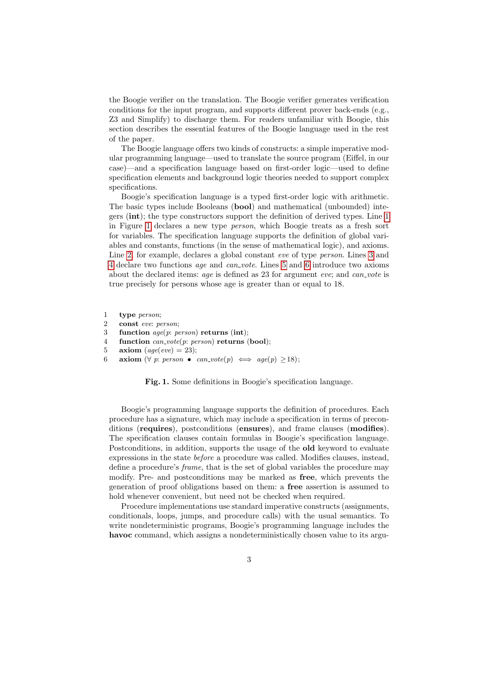the Boogie verifier on the translation. The Boogie verifier generates verification conditions for the input program, and supports different prover back-ends (e.g., Z3 and Simplify) to discharge them. For readers unfamiliar with Boogie, this section describes the essential features of the Boogie language used in the rest of the paper.

The Boogie language offers two kinds of constructs: a simple imperative modular programming language—used to translate the source program (Eiffel, in our case)—and a specification language based on first-order logic—used to define specification elements and background logic theories needed to support complex specifications.

Boogie's specification language is a typed first-order logic with arithmetic. The basic types include Booleans (bool) and mathematical (unbounded) integers (int); the type constructors support the definition of derived types. Line [1](#page-2-0) in Figure [1](#page-2-1) declares a new type person, which Boogie treats as a fresh sort for variables. The specification language supports the definition of global variables and constants, functions (in the sense of mathematical logic), and axioms. Line [2,](#page-2-2) for example, declares a global constant eve of type person. Lines [3](#page-2-3) and [4](#page-2-4) declare two functions age and can vote. Lines [5](#page-2-5) and [6](#page-2-6) introduce two axioms about the declared items: age is defined as 23 for argument eve; and  $can\_vote$  is true precisely for persons whose age is greater than or equal to 18.

- <span id="page-2-0"></span>1 type person;
- <span id="page-2-2"></span>2 const eve: person;
- <span id="page-2-3"></span>3 function age(p: person) returns (int);
- <span id="page-2-4"></span>4 function *can\_vote*(*p*: *person*) returns (bool);
- <span id="page-2-5"></span>5 axiom  $(\text{age}(eve) = 23);$
- <span id="page-2-6"></span>6 axiom ( $\forall$  p: person • can\_vote(p)  $\iff$  age(p)  $\geq$ 18);

<span id="page-2-1"></span>Fig. 1. Some definitions in Boogie's specification language.

Boogie's programming language supports the definition of procedures. Each procedure has a signature, which may include a specification in terms of preconditions (requires), postconditions (ensures), and frame clauses (modifies). The specification clauses contain formulas in Boogie's specification language. Postconditions, in addition, supports the usage of the **old** keyword to evaluate expressions in the state before a procedure was called. Modifies clauses, instead, define a procedure's frame, that is the set of global variables the procedure may modify. Pre- and postconditions may be marked as free, which prevents the generation of proof obligations based on them: a free assertion is assumed to hold whenever convenient, but need not be checked when required.

Procedure implementations use standard imperative constructs (assignments, conditionals, loops, jumps, and procedure calls) with the usual semantics. To write nondeterministic programs, Boogie's programming language includes the havoc command, which assigns a nondeterministically chosen value to its argu-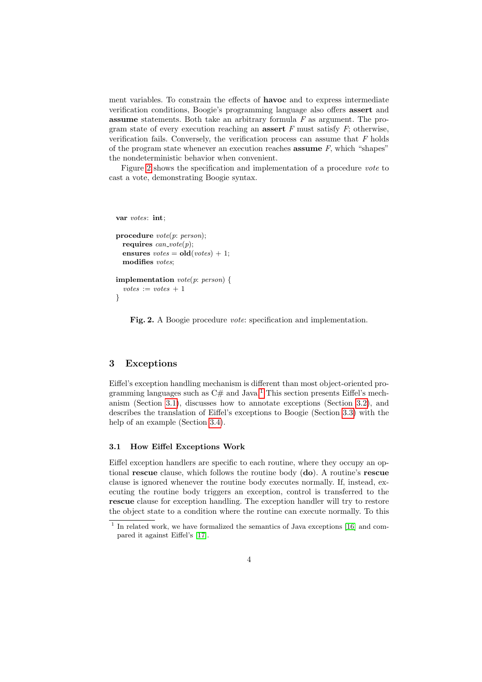ment variables. To constrain the effects of havoc and to express intermediate verification conditions, Boogie's programming language also offers assert and **assume** statements. Both take an arbitrary formula  $F$  as argument. The program state of every execution reaching an **assert**  $F$  must satisfy  $F$ ; otherwise, verification fails. Conversely, the verification process can assume that  $F$  holds of the program state whenever an execution reaches **assume**  $F$ , which "shapes" the nondeterministic behavior when convenient.

Figure [2](#page-3-1) shows the specification and implementation of a procedure vote to cast a vote, demonstrating Boogie syntax.

var votes: int;

```
procedure vote(p: person);
 requires can\_vote(p);
 ensures votes = old(votes) + 1;
 modifies votes;
```

```
implementation vote(p: person) {
  votes := votes + 1}
```
<span id="page-3-1"></span>Fig. 2. A Boogie procedure *vote*: specification and implementation.

# <span id="page-3-0"></span>3 Exceptions

Eiffel's exception handling mechanism is different than most object-oriented programming languages such as  $C#$  and Java.<sup>[1](#page-3-2)</sup> This section presents Eiffel's mechanism (Section [3.1\)](#page-3-3), discusses how to annotate exceptions (Section [3.2\)](#page-4-0), and describes the translation of Eiffel's exceptions to Boogie (Section [3.3\)](#page-5-0) with the help of an example (Section [3.4\)](#page-6-1).

#### <span id="page-3-3"></span>3.1 How Eiffel Exceptions Work

Eiffel exception handlers are specific to each routine, where they occupy an optional rescue clause, which follows the routine body (do). A routine's rescue clause is ignored whenever the routine body executes normally. If, instead, executing the routine body triggers an exception, control is transferred to the rescue clause for exception handling. The exception handler will try to restore the object state to a condition where the routine can execute normally. To this

<span id="page-3-2"></span><sup>&</sup>lt;sup>1</sup> In related work, we have formalized the semantics of Java exceptions [\[16\]](#page-21-5) and compared it against Eiffel's [\[17\]](#page-21-6).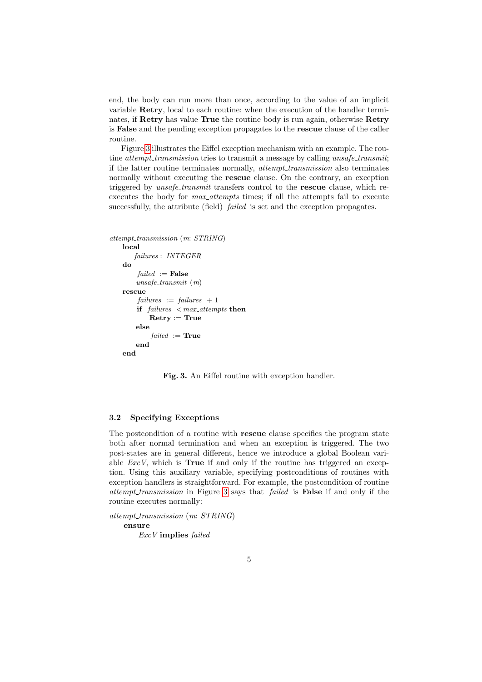end, the body can run more than once, according to the value of an implicit variable Retry, local to each routine: when the execution of the handler terminates, if Retry has value True the routine body is run again, otherwise Retry is False and the pending exception propagates to the rescue clause of the caller routine.

Figure [3](#page-4-1) illustrates the Eiffel exception mechanism with an example. The routine *attempt\_transmission* tries to transmit a message by calling unsafe\_transmit; if the latter routine terminates normally, attempt transmission also terminates normally without executing the **rescue** clause. On the contrary, an exception triggered by *unsafe\_transmit* transfers control to the **rescue** clause, which reexecutes the body for *max\_attempts* times; if all the attempts fail to execute successfully, the attribute (field) *failed* is set and the exception propagates.

```
attempt_transmission (m: STRING)
   local
       failures : INTEGER
   do
        failed :=False
       unsafe\_transmit (m)
   rescue
        failures := failures + 1if failures \langle max_attempts then
           Retry := Trueelse
           failed := Trueend
   end
```
<span id="page-4-1"></span>Fig. 3. An Eiffel routine with exception handler.

#### <span id="page-4-0"></span>3.2 Specifying Exceptions

The postcondition of a routine with rescue clause specifies the program state both after normal termination and when an exception is triggered. The two post-states are in general different, hence we introduce a global Boolean variable  $ExcV$ , which is **True** if and only if the routine has triggered an exception. Using this auxiliary variable, specifying postconditions of routines with exception handlers is straightforward. For example, the postcondition of routine attempt transmission in Figure [3](#page-4-1) says that failed is False if and only if the routine executes normally:

attempt\_transmission (m: STRING)

ensure ExcV implies failed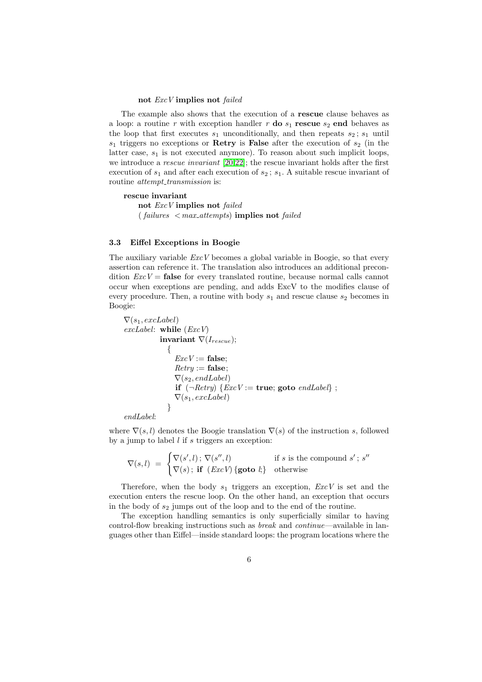#### not ExcV implies not failed

The example also shows that the execution of a rescue clause behaves as a loop: a routine r with exception handler r do  $s_1$  rescue  $s_2$  end behaves as the loop that first executes  $s_1$  unconditionally, and then repeats  $s_2$ ;  $s_1$  until  $s_1$  triggers no exceptions or **Retry** is **False** after the execution of  $s_2$  (in the latter case,  $s_1$  is not executed anymore). To reason about such implicit loops, we introduce a *rescue invariant* [\[20,](#page-22-2)[22\]](#page-22-3); the rescue invariant holds after the first execution of  $s_1$  and after each execution of  $s_2$ ;  $s_1$ . A suitable rescue invariant of routine *attempt\_transmission* is:

rescue invariant not ExcV implies not failed  $(failing < max_{\text{}}attemps)$  implies not failed

#### <span id="page-5-0"></span>3.3 Eiffel Exceptions in Boogie

The auxiliary variable  $ExcV$  becomes a global variable in Boogie, so that every assertion can reference it. The translation also introduces an additional precondition  $ExcV =$  false for every translated routine, because normal calls cannot occur when exceptions are pending, and adds ExcV to the modifies clause of every procedure. Then, a routine with body  $s_1$  and rescue clause  $s_2$  becomes in Boogie:

```
\nabla(s_1, excLabel)exchabel: while (ExcV)invariant \nabla(I_{rescue});
               {
                  ExcV := false;
                  Retru := \mathbf{false}:
                  \nabla(s_2, endLabel)if (\neg Retry) \{ExcV := \text{true}; \text{goto } endLabel\};
                  \nabla(s_1, excLabel)}
```
endLabel:

where  $\nabla(s, l)$  denotes the Boogie translation  $\nabla(s)$  of the instruction s, followed by a jump to label  $l$  if s triggers an exception:

$$
\nabla(s,l) = \begin{cases} \nabla(s',l) \, ; \, \nabla(s'',l) & \text{if } s \text{ is the compound } s' \, ; \, s'' \\ \nabla(s) \, ; \, \text{if } (ExcV) \{ \text{goto } l \} & \text{otherwise} \end{cases}
$$

Therefore, when the body  $s_1$  triggers an exception,  $ExcV$  is set and the execution enters the rescue loop. On the other hand, an exception that occurs in the body of  $s_2$  jumps out of the loop and to the end of the routine.

The exception handling semantics is only superficially similar to having control-flow breaking instructions such as *break* and *continue*—available in languages other than Eiffel—inside standard loops: the program locations where the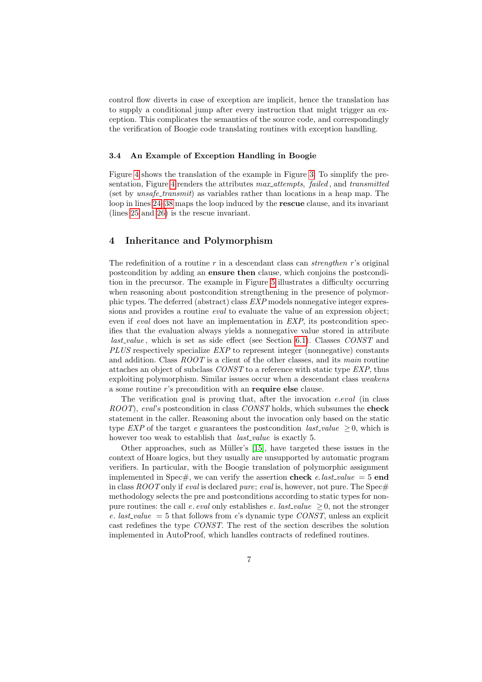control flow diverts in case of exception are implicit, hence the translation has to supply a conditional jump after every instruction that might trigger an exception. This complicates the semantics of the source code, and correspondingly the verification of Boogie code translating routines with exception handling.

## <span id="page-6-1"></span>3.4 An Example of Exception Handling in Boogie

Figure [4](#page-7-0) shows the translation of the example in Figure [3.](#page-4-1) To simplify the pre-sentation, Figure [4](#page-7-0) renders the attributes max attempts, failed, and transmitted (set by *unsafe\_transmit*) as variables rather than locations in a heap map. The loop in lines [24–](#page-7-1)[38](#page-7-2) maps the loop induced by the rescue clause, and its invariant (lines [25](#page-7-3) and [26\)](#page-7-4) is the rescue invariant.

# <span id="page-6-0"></span>4 Inheritance and Polymorphism

The redefinition of a routine  $r$  in a descendant class can *strengthen*  $r$ 's original postcondition by adding an ensure then clause, which conjoins the postcondition in the precursor. The example in Figure [5](#page-8-0) illustrates a difficulty occurring when reasoning about postcondition strengthening in the presence of polymorphic types. The deferred (abstract) class EXP models nonnegative integer expressions and provides a routine *eval* to evaluate the value of an expression object; even if *eval* does not have an implementation in *EXP*, its postcondition specifies that the evaluation always yields a nonnegative value stored in attribute  $last_value$ , which is set as side effect (see Section [6.1\)](#page-17-1). Classes  $CONST$  and PLUS respectively specialize EXP to represent integer (nonnegative) constants and addition. Class ROOT is a client of the other classes, and its main routine attaches an object of subclass CONST to a reference with static type EXP, thus exploiting polymorphism. Similar issues occur when a descendant class *weakens* a some routine r's precondition with an require else clause.

The verification goal is proving that, after the invocation e.eval (in class ROOT), eval's postcondition in class CONST holds, which subsumes the **check** statement in the caller. Reasoning about the invocation only based on the static type EXP of the target e guarantees the postcondition last value  $\geq 0$ , which is however too weak to establish that *last\_value* is exactly 5.

Other approaches, such as Müller's [\[15\]](#page-21-7), have targeted these issues in the context of Hoare logics, but they usually are unsupported by automatic program verifiers. In particular, with the Boogie translation of polymorphic assignment implemented in Spec#, we can verify the assertion **check** e. last\_value = 5 **end** in class  $ROOT$  only if *eval* is declared *pure; eval* is, however, not pure. The Spec# methodology selects the pre and postconditions according to static types for nonpure routines: the call e. eval only establishes e. last\_value  $\geq 0$ , not the stronger e. last value = 5 that follows from e's dynamic type  $CONST$ , unless an explicit cast redefines the type CONST. The rest of the section describes the solution implemented in AutoProof, which handles contracts of redefined routines.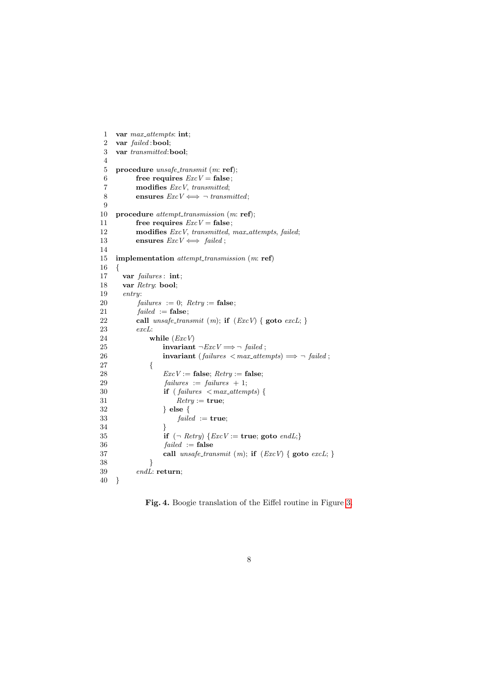```
1 var max_attempts: int;
2 var failed :bool;
3 var transmitted:bool;
4
5 procedure unsafe\_transmit (m: ref);
6 free requires ExcV = false;7 modifies ExcV, transmitted;
8 ensures ExcV \Longleftrightarrow \neg transmitted;
9
10 procedure attempt\_transmission (m: ref);
11 free requires ExcV = false;
12 modifies ExcV, transmitted, max_attempts, failed;
13 ensures ExcV \Longleftrightarrow failed;
14
15 implementation attempt_transmission (m: ref)
16 {
17 var failures : int;
18 var Retry: bool;
19 entry:
20 failures := 0; Retry := false;
21 failed := false;22 call unsafe\_transmit(m); if (ExcV) { goto excL; }
23 excL:
24 while (ExcV)25 invariant \neg ExcV \Longrightarrow \neg\ failed;
26 invariant (failures \langle max_attempts) \implies \neg failed ;
27 {
28 ExcV := \textbf{false}; Retry := \textbf{false};29 failures := failures + 1;30 if (failures < max_{\text{}attemps}) {
31 Retry := true;32 } else {
33 
34 \,35 if (\neg \text{Retry}) \{ExcV := \text{true}; \text{goto } \text{endL};\}36 
37 call unsafe\_transmit(m); if (ExcV) { goto excL; }
38 }
39 endL: return;
40 }
```
<span id="page-7-4"></span><span id="page-7-3"></span><span id="page-7-2"></span><span id="page-7-1"></span><span id="page-7-0"></span>Fig. 4. Boogie translation of the Eiffel routine in Figure [3.](#page-4-1)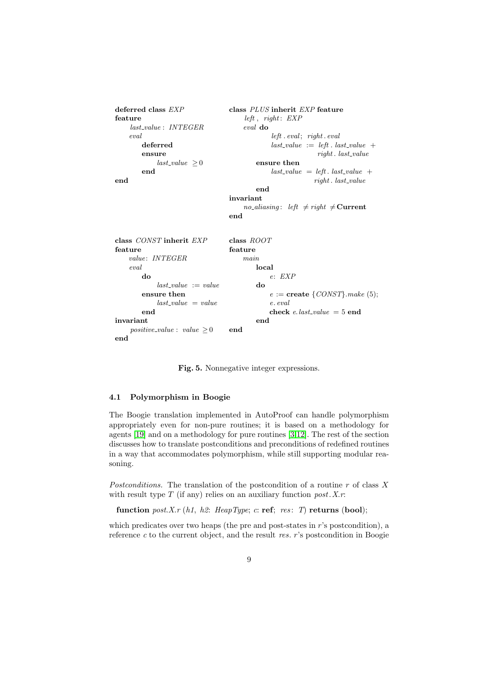```
deferred class EXP
feature
    last value : INTEGER
    eval
        deferred
        ensure
            last\_value \geq 0end
end
                                  class PLUS inherit EXP feature
                                       left, right: EXPeval do
                                                left. event; right. evallast_value := left. last_value +right. last_value
                                           ensure then
                                               last\_value = left. last\_value +
                                                            right. last_value
                                           end
                                  invariant
                                       no aliasing: left \neq right \neqCurrent
                                  end
class CONST inherit EXP
feature
    value: INTEGER
    eval
        do
            last\_value := valueensure then
            last_value = valueend
invariant
    positive_value : value \geq 0end
                                  class ROOT
                                  feature
                                       main
                                           local
                                               e: EXP
                                           do
                                               e := \textbf{create} \, \{CONST\}.\textit{make} \, (5);e. eval
                                               check e.last_value = 5 end
                                           end
                                  end
```
<span id="page-8-0"></span>Fig. 5. Nonnegative integer expressions.

## 4.1 Polymorphism in Boogie

The Boogie translation implemented in AutoProof can handle polymorphism appropriately even for non-pure routines; it is based on a methodology for agents [\[19\]](#page-21-8) and on a methodology for pure routines [\[3,](#page-21-9)[12\]](#page-21-10). The rest of the section discusses how to translate postconditions and preconditions of redefined routines in a way that accommodates polymorphism, while still supporting modular reasoning.

Postconditions. The translation of the postcondition of a routine  $r$  of class  $X$ with result type  $T$  (if any) relies on an auxiliary function  $post. X.r.$ 

function post.X.r (h1, h2: HeapType; c: ref; res: T) returns (bool);

which predicates over two heaps (the pre and post-states in r's postcondition), a reference  $c$  to the current object, and the result res.  $r$ 's postcondition in Boogie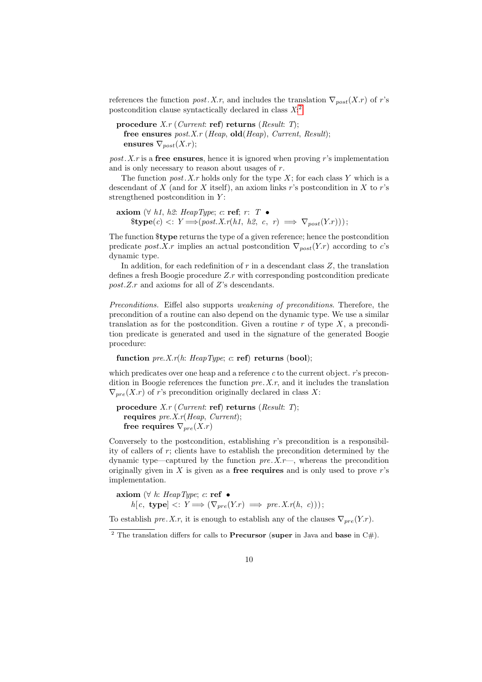references the function post. X.r, and includes the translation  $\nabla_{post}(X.r)$  of r's postcondition clause syntactically declared in class  $X$ <sup>[2](#page-9-0)</sup>

procedure  $X.r$  (*Current:* ref) returns (*Result: T*); free ensures  $post.X.r$  (Heap, old(Heap), Current, Result); ensures  $\nabla_{post}(X.r);$ 

 $post. X.r$  is a free ensures, hence it is ignored when proving r's implementation and is only necessary to reason about usages of  $r$ .

The function  $post. X.r$  holds only for the type X; for each class Y which is a descendant of X (and for X itself), an axiom links r's postcondition in X to r's strengthened postcondition in  $Y$ :

```
axiom (∀ h1, h2: HeapType; c: ref; r: T •
     \text{type}(c) \leq Y \Longrightarrow (post. X.r(h1, h2, c, r) \implies \nabla_{post}(Y.r));
```
The function \$type returns the type of a given reference; hence the postcondition predicate post.X.r implies an actual postcondition  $\nabla_{post}(Y.r)$  according to c's dynamic type.

In addition, for each redefinition of  $r$  in a descendant class  $Z$ , the translation defines a fresh Boogie procedure Z.r with corresponding postcondition predicate post.Z.r and axioms for all of Z's descendants.

Preconditions. Eiffel also supports weakening of preconditions. Therefore, the precondition of a routine can also depend on the dynamic type. We use a similar translation as for the postcondition. Given a routine r of type  $X$ , a precondition predicate is generated and used in the signature of the generated Boogie procedure:

function  $pre.X.r(h: \text{HeapType}; c: \text{ref})$  returns (bool);

which predicates over one heap and a reference  $c$  to the current object.  $r$ 's precondition in Boogie references the function  $pre. X.r$ , and it includes the translation  $\nabla_{pre}(X.r)$  of r's precondition originally declared in class X:

```
procedure X.r (Current: ref) returns (Result: T);
  requires pre.X.r(Heap, Current);free requires \nabla_{pre}(X.r)
```
Conversely to the postcondition, establishing  $r$ 's precondition is a responsibility of callers of r; clients have to establish the precondition determined by the dynamic type—captured by the function  $pre.X.r$ —, whereas the precondition originally given in  $X$  is given as a free requires and is only used to prove r's implementation.

axiom (∀ h: HeapType; c: ref •  $h[c, \text{ type}] \leq: Y \Longrightarrow (\nabla_{\text{tree}}(Y.r) \Longrightarrow \text{ pre. } X.r(h, c)));$ 

To establish pre. X.r, it is enough to establish any of the clauses  $\nabla_{pre}(Y.r)$ .

<span id="page-9-0"></span><sup>&</sup>lt;sup>2</sup> The translation differs for calls to **Precursor** (super in Java and base in  $C#$ ).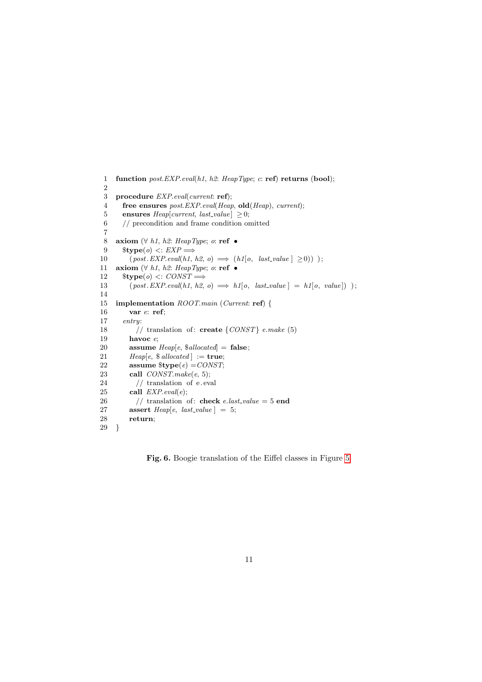```
1 function post. EXP. eval(h1, h2: HeapType; c: ref) returns (bool);
 2
 3 procedure EXP.eval(current: ref);
 4 free ensures post. EXP. eval(Heap, old(Heap), current);5 ensures Heap[current, last_value] \geq 0;6 // precondition and frame condition omitted
 7
 8 axiom (\forall h1, h2: HeapType; o: ref •
 9 $type(o) \leq EXP \Longrightarrow10 (post. EXP. eval(h1, h2, o) \implies (h1[s, last_value] \ge 0));
11 axiom (\forall h1, h2: HeapType; o: ref •
12 $type(o) \leq: CONST \Longrightarrow13 (post. EXP. eval(h1, h2, o) \implies h1[o, last_value] = h1[o, value]);
14
15 implementation ROOT.main (Current: ref) {
16 var e: ref;
17 entry:
18 // translation of: create \{CONST\} e.make (5)
19 havoc e;
20 assume Heap[e, \$ allocated] = false;21 Heap[e, \text{\$ allocated}] := true;
22 assume \text{type}(e) = \text{CONST};23 call CONST.make(e, 5);
24 // translation of e.eval
25 call EXP.eval(e);
26 // translation of: check e.last_value = 5 end
27 assert Heap[e, last\_value] = 5;
28 return;
29 }
```
<span id="page-10-0"></span>Fig. 6. Boogie translation of the Eiffel classes in Figure [5.](#page-8-0)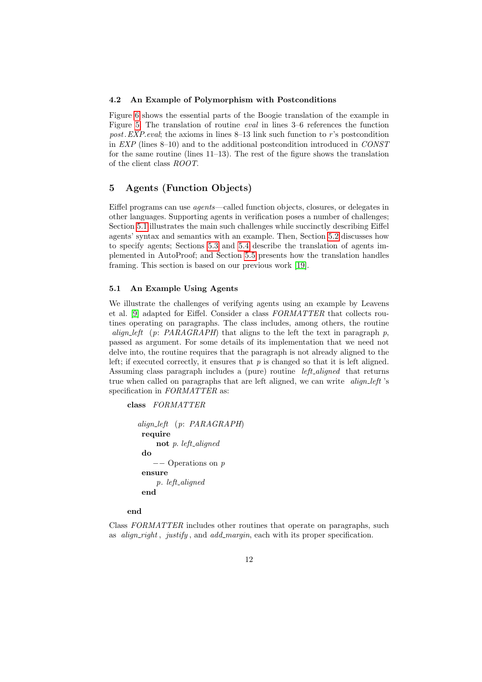#### 4.2 An Example of Polymorphism with Postconditions

Figure [6](#page-10-0) shows the essential parts of the Boogie translation of the example in Figure [5.](#page-8-0) The translation of routine eval in lines 3–6 references the function post. EXP. eval; the axioms in lines  $8-13$  link such function to r's postcondition in EXP (lines 8–10) and to the additional postcondition introduced in CONST for the same routine (lines 11–13). The rest of the figure shows the translation of the client class ROOT.

# <span id="page-11-0"></span>5 Agents (Function Objects)

Eiffel programs can use agents—called function objects, closures, or delegates in other languages. Supporting agents in verification poses a number of challenges; Section [5.1](#page-11-1) illustrates the main such challenges while succinctly describing Eiffel agents' syntax and semantics with an example. Then, Section [5.2](#page-13-0) discusses how to specify agents; Sections [5.3](#page-14-0) and [5.4](#page-14-1) describe the translation of agents implemented in AutoProof; and Section [5.5](#page-15-0) presents how the translation handles framing. This section is based on our previous work [\[19\]](#page-21-8).

## <span id="page-11-1"></span>5.1 An Example Using Agents

We illustrate the challenges of verifying agents using an example by Leavens et al. [\[9\]](#page-21-11) adapted for Eiffel. Consider a class FORMATTER that collects routines operating on paragraphs. The class includes, among others, the routine align left (p: PARAGRAPH) that aligns to the left the text in paragraph p, passed as argument. For some details of its implementation that we need not delve into, the routine requires that the paragraph is not already aligned to the left; if executed correctly, it ensures that  $p$  is changed so that it is left aligned. Assuming class paragraph includes a (pure) routine *left\_aligned* that returns true when called on paragraphs that are left aligned, we can write  $align$  left 's specification in FORMATTER as:

class FORMATTER

```
align left (p: PARAGRAPH)
require
     not p. left_aligned
 do
      −− Operations on p
 ensure
     p. left_aligned
 end
```
# end

Class FORMATTER includes other routines that operate on paragraphs, such as *align\_right*, *justify*, and *add\_margin*, each with its proper specification.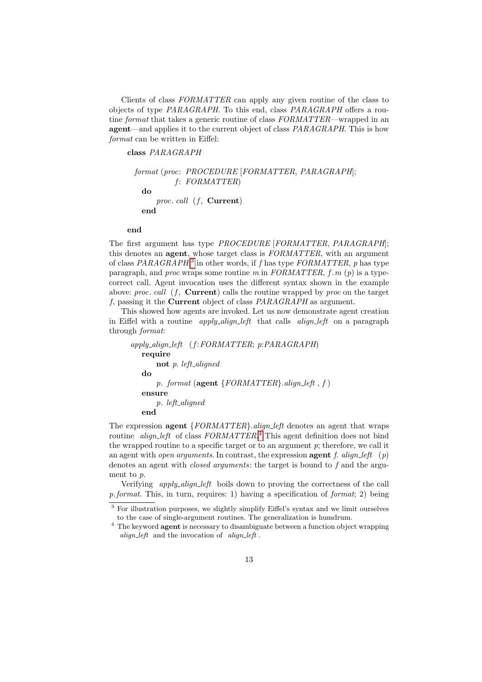Clients of class FORMATTER can apply any given routine of the class to objects of type PARAGRAPH. To this end, class PARAGRAPH offers a routine *format* that takes a generic routine of class  $FORMATTER$ —wrapped in an **agent**—and applies it to the current object of class *PARAGRAPH*. This is how format can be written in Eiffel:

class PARAGRAPH

format (proc: PROCEDURE [FORMATTER, PARAGRAPH];  $f: FORMATTER)$ do proc. call  $(f,$  **Current**) end

#### end

The first argument has type PROCEDURE [FORMATTER, PARAGRAPH]; this denotes an **agent**, whose target class is FORMATTER, with an argument of class  $PARAGRAPH$ <sup>[3](#page-12-0)</sup> in other words, if f has type  $FORMATTER$ , p has type paragraph, and proc wraps some routine m in FORMATTER, f, m (p) is a typecorrect call. Agent invocation uses the different syntax shown in the example above: proc. call  $(f,$  **Current**) calls the routine wrapped by proc on the target f, passing it the Current object of class PARAGRAPH as argument.

This showed how agents are invoked. Let us now demonstrate agent creation in Eiffel with a routine *apply-align-left* that calls *align-left* on a paragraph through format:

```
apply\_align\_left (f: FORMATTER; p: PARAGRAPH)
  require
       not p. left_aligned
   do
       p. format (agent {FORMATTER}). align_left, f)
   ensure
       p. left_aligned
   end
```
The expression **agent**  ${FORMATTER}$ . *align\_left* denotes an agent that wraps routine *align\_left* of class  $FORMATTER$ <sup>[4](#page-12-1)</sup> This agent definition does not bind the wrapped routine to a specific target or to an argument  $p$ ; therefore, we call it an agent with *open arguments*. In contrast, the expression **agent** f. align\_left (p) denotes an agent with *closed arguments*: the target is bound to f and the argument to p.

Verifying apply align left boils down to proving the correctness of the call p.format. This, in turn, requires: 1) having a specification of format; 2) being

<span id="page-12-0"></span><sup>3</sup> For illustration purposes, we slightly simplify Eiffel's syntax and we limit ourselves to the case of single-argument routines. The generalization is humdrum.

<span id="page-12-1"></span><sup>&</sup>lt;sup>4</sup> The keyword **agent** is necessary to disambiguate between a function object wrapping align\_left and the invocation of align\_left.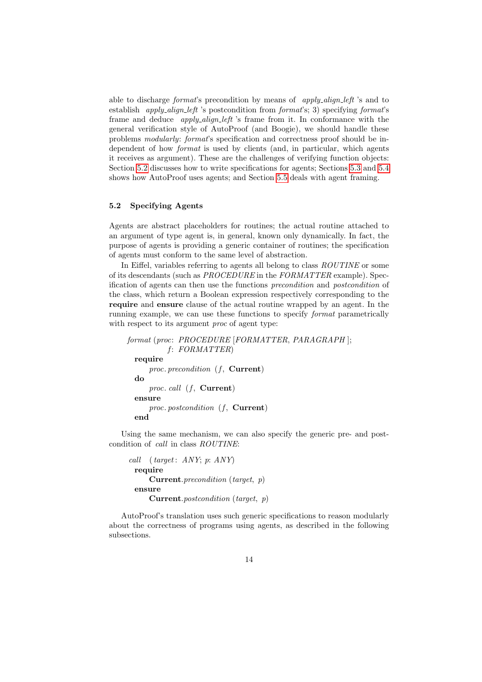able to discharge format's precondition by means of apply\_align\_left 's and to establish *apply-align-left* 's postcondition from  $format$ 's; 3) specifying  $format$ 's frame and deduce *apply\_align\_left* 's frame from it. In conformance with the general verification style of AutoProof (and Boogie), we should handle these problems modularly: format's specification and correctness proof should be independent of how *format* is used by clients (and, in particular, which agents it receives as argument). These are the challenges of verifying function objects: Section [5.2](#page-13-0) discusses how to write specifications for agents; Sections [5.3](#page-14-0) and [5.4](#page-14-1) shows how AutoProof uses agents; and Section [5.5](#page-15-0) deals with agent framing.

## <span id="page-13-0"></span>5.2 Specifying Agents

Agents are abstract placeholders for routines; the actual routine attached to an argument of type agent is, in general, known only dynamically. In fact, the purpose of agents is providing a generic container of routines; the specification of agents must conform to the same level of abstraction.

In Eiffel, variables referring to agents all belong to class ROUTINE or some of its descendants (such as PROCEDURE in the FORMATTER example). Specification of agents can then use the functions precondition and postcondition of the class, which return a Boolean expression respectively corresponding to the require and ensure clause of the actual routine wrapped by an agent. In the running example, we can use these functions to specify format parametrically with respect to its argument *proc* of agent type:

```
format (proc: PROCEDURE [FORMATTER, PARAGRAPH ];
         f: FORMATTER)require
     proc. precondition (f, Current)
 do
     proc. call (f, Current)
 ensure
     proc. postcondition (f, Current)
 end
```
Using the same mechanism, we can also specify the generic pre- and postcondition of call in class ROUTINE:

```
call (target: ANY; p: ANY)
 require
     Current.precondition (target, p)
 ensure
     Current.postcondition (target, p)
```
AutoProof's translation uses such generic specifications to reason modularly about the correctness of programs using agents, as described in the following subsections.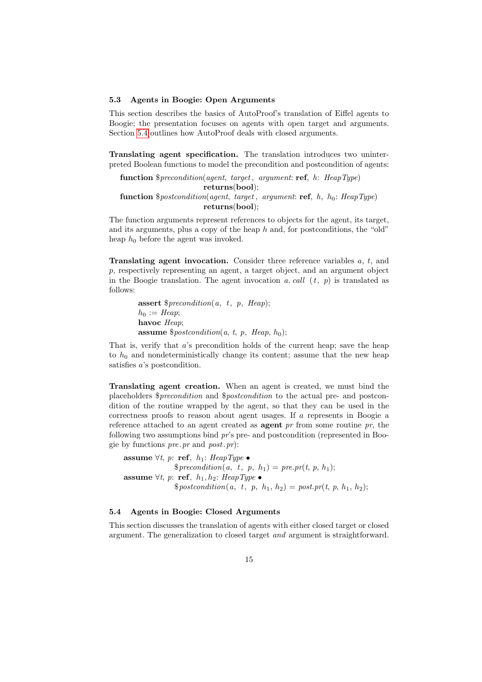## <span id="page-14-0"></span>5.3 Agents in Boogie: Open Arguments

This section describes the basics of AutoProof's translation of Eiffel agents to Boogie; the presentation focuses on agents with open target and arguments. Section [5.4](#page-14-1) outlines how AutoProof deals with closed arguments.

Translating agent specification. The translation introduces two uninterpreted Boolean functions to model the precondition and postcondition of agents:

function  $$ precondition(agent, target, argument: ref, h:HeapType)$ returns(bool); **function**  $$postcondition(agent, target, argument: ref, h, h<sub>0</sub>:HeapType)$ returns(bool);

The function arguments represent references to objects for the agent, its target, and its arguments, plus a copy of the heap h and, for postconditions, the "old" heap  $h_0$  before the agent was invoked.

**Translating agent invocation.** Consider three reference variables  $a, t$ , and p, respectively representing an agent, a target object, and an argument object in the Boogie translation. The agent invocation a. call  $(t, p)$  is translated as follows:

> **assert**  $$ precondition(a, t, p, *Heap*)$ ;  $h_0 := \text{Heap};$ havoc Heap; **assume**  $$postcondition(a, t, p, Hean, h_0);$

That is, verify that  $a$ 's precondition holds of the current heap; save the heap to  $h_0$  and nondeterministically change its content; assume that the new heap satisfies a's postcondition.

Translating agent creation. When an agent is created, we must bind the placeholders \$precondition and \$postcondition to the actual pre- and postcondition of the routine wrapped by the agent, so that they can be used in the correctness proofs to reason about agent usages. If a represents in Boogie a reference attached to an agent created as **agent** pr from some routine pr, the following two assumptions bind pr's pre- and postcondition (represented in Boogie by functions pre.pr and post.pr):

assume  $\forall t, p$ : ref,  $h_1$ : HeapType  $\bullet$  $$ precondition(a, t, p, h_1) = pre.pr(t, p, h_1);$ assume  $\forall t, p$ : ref,  $h_1, h_2$ : HeapType  $\bullet$  $$postcondition(a, t, p, h_1, h_2) = post_pr(t, p, h_1, h_2);$ 

## <span id="page-14-1"></span>5.4 Agents in Boogie: Closed Arguments

This section discusses the translation of agents with either closed target or closed argument. The generalization to closed target and argument is straightforward.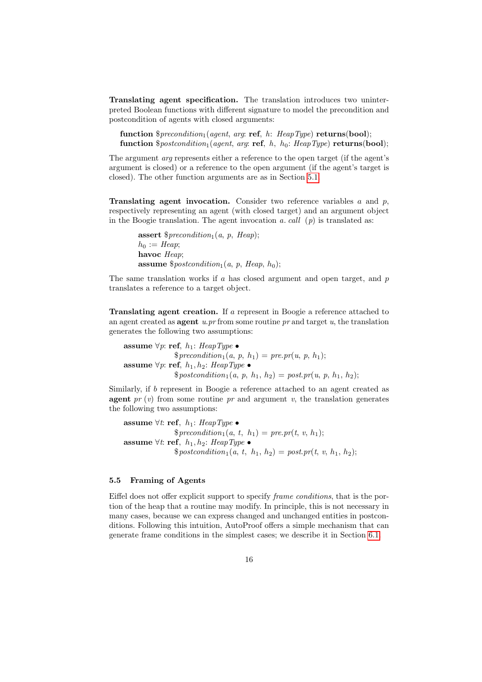Translating agent specification. The translation introduces two uninterpreted Boolean functions with different signature to model the precondition and postcondition of agents with closed arguments:

function  $$ precondition_1(agent, arg. ref, h:HeapType)$  returns(bool); function  $$postcondition_1(agent, arg: ref, h, h_0: \text{HeapType})$  returns(bool);

The argument arg represents either a reference to the open target (if the agent's argument is closed) or a reference to the open argument (if the agent's target is closed). The other function arguments are as in Section [5.1.](#page-11-1)

**Translating agent invocation.** Consider two reference variables  $a$  and  $p$ , respectively representing an agent (with closed target) and an argument object in the Boogie translation. The agent invocation  $a. \text{call } (p)$  is translated as:

assert  $$ precondition_1(a, p,Heap);$  $h_0 := \text{Heap}$ havoc Heap: **assume**  $$postcondition<sub>1</sub>(a, p, Hcap, h<sub>0</sub>)$ ;

The same translation works if  $a$  has closed argument and open target, and  $p$ translates a reference to a target object.

Translating agent creation. If a represent in Boogie a reference attached to an agent created as **agent** u.pr from some routine pr and target u, the translation generates the following two assumptions:

assume  $\forall p$ : ref,  $h_1$ : HeapType •  $$ precondition_1(a, p, h_1) = pre_pr(u, p, h_1);$ assume ∀p: ref,  $h_1, h_2$ : HeapType •  $$postcondition_1(a, p, h_1, h_2) = post.pr(u, p, h_1, h_2);$ 

Similarly, if b represent in Boogie a reference attached to an agent created as agent  $pr(v)$  from some routine  $pr$  and argument v, the translation generates the following two assumptions:

assume  $\forall t$ : ref,  $h_1$ : HeapType •  $$ precondition_1(a, t, h_1) = pre.pr(t, v, h_1);$ assume  $\forall t$ : ref,  $h_1, h_2$ : HeapType •  $$postcondition_1(a, t, h_1, h_2) = post.pdf, v, h_1, h_2);$ 

#### <span id="page-15-0"></span>5.5 Framing of Agents

Eiffel does not offer explicit support to specify frame conditions, that is the portion of the heap that a routine may modify. In principle, this is not necessary in many cases, because we can express changed and unchanged entities in postconditions. Following this intuition, AutoProof offers a simple mechanism that can generate frame conditions in the simplest cases; we describe it in Section [6.1.](#page-17-1)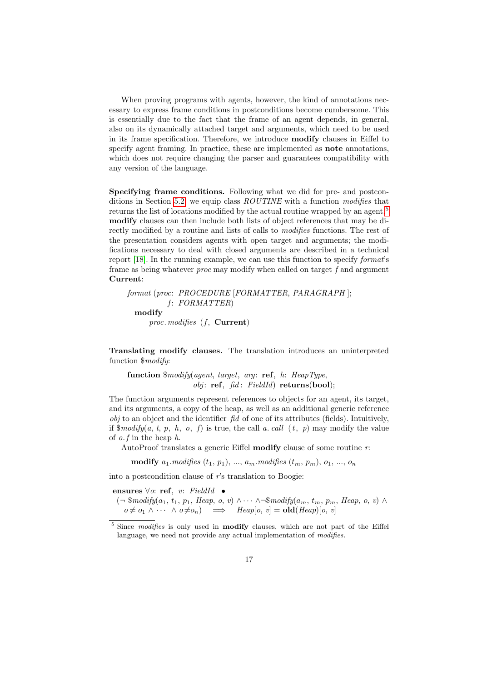When proving programs with agents, however, the kind of annotations necessary to express frame conditions in postconditions become cumbersome. This is essentially due to the fact that the frame of an agent depends, in general, also on its dynamically attached target and arguments, which need to be used in its frame specification. Therefore, we introduce modify clauses in Eiffel to specify agent framing. In practice, these are implemented as **note** annotations, which does not require changing the parser and guarantees compatibility with any version of the language.

Specifying frame conditions. Following what we did for pre- and postcon-ditions in Section [5.2,](#page-13-0) we equip class  $ROUTINE$  with a function modifies that returns the list of locations modified by the actual routine wrapped by an agent.<sup>[5](#page-16-0)</sup> modify clauses can then include both lists of object references that may be directly modified by a routine and lists of calls to *modifies* functions. The rest of the presentation considers agents with open target and arguments; the modifications necessary to deal with closed arguments are described in a technical report [\[18\]](#page-21-12). In the running example, we can use this function to specify format's frame as being whatever proc may modify when called on target f and argument Current:

```
format (proc: PROCEDURE [FORMATTER, PARAGRAPH ];
         f: FORMATTER)modify
    proc. modifies (f, Current)
```
Translating modify clauses. The translation introduces an uninterpreted function \$modify:

function \$modify(agent, target, arg: ref, h: HeapType,  $obj:$  ref,  $fid:$   $FieldId)$  returns(bool);

The function arguments represent references to objects for an agent, its target, and its arguments, a copy of the heap, as well as an additional generic reference  $obj$  to an object and the identifier  $fid$  of one of its attributes (fields). Intuitively, if  $\mathcal{E} \mathcal{E}$  is true, the call a. call  $(t, p)$  may modify the value of  $o.f$  in the heap  $h$ .

AutoProof translates a generic Eiffel **modify** clause of some routine  $r$ :

modify  $a_1$  modifies  $(t_1, p_1)$ , ...,  $a_m$  modifies  $(t_m, p_m)$ ,  $o_1$ , ...,  $o_n$ 

into a postcondition clause of r's translation to Boogie:

ensures  $\forall o:$  ref, v: FieldId •

 $(\neg$  \$modify $(a_1, t_1, p_1, \text{Heap}, o, v) \wedge \cdots \wedge \neg \text{Smodify}(a_m, t_m, p_m, \text{Heap}, o, v) \wedge \neg \text{Emb}$  $o \neq o_1 \land \cdots \land o \neq o_n$   $\implies$   $Heap[o, v] = old(Heap)[o, v]$ 

<span id="page-16-0"></span> $5$  Since modifies is only used in **modify** clauses, which are not part of the Eiffel language, we need not provide any actual implementation of modifies.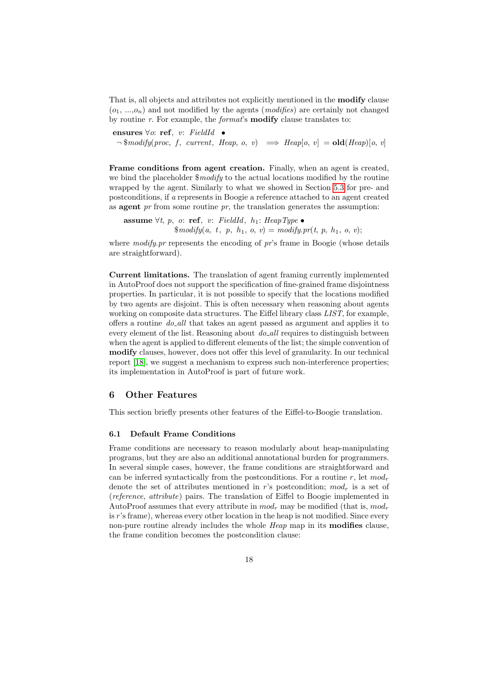That is, all objects and attributes not explicitly mentioned in the modify clause  $(o_1, ..., o_n)$  and not modified by the agents (*modifies*) are certainly not changed by routine  $r$ . For example, the *format*'s **modify** clause translates to:

ensures  $\forall o:$  ref, v: FieldId •  $\neg$  \$modify(proc, f, current, Heap, o, v)  $\implies$  Heap[o, v] = **old**(Heap)[o, v]

Frame conditions from agent creation. Finally, when an agent is created, we bind the placeholder  $\frac{2 \text{ mod } t}{y}$  to the actual locations modified by the routine wrapped by the agent. Similarly to what we showed in Section [5.3](#page-14-0) for pre- and postconditions, if a represents in Boogie a reference attached to an agent created as **agent**  $pr$  from some routine  $pr$ , the translation generates the assumption:

assume  $\forall t, p, o: \text{ref}, v: \text{FieldId}, h_1: \text{HeapType} \bullet$  $\mathcal{L} \mathcal{L} \{ \text{modify}(a, t, p, h_1, o, v) = \text{modify} \cdot \text{pr}(t, p, h_1, o, v);$ 

where  $\textit{modifu}$ , pr represents the encoding of pr's frame in Boogie (whose details are straightforward).

Current limitations. The translation of agent framing currently implemented in AutoProof does not support the specification of fine-grained frame disjointness properties. In particular, it is not possible to specify that the locations modified by two agents are disjoint. This is often necessary when reasoning about agents working on composite data structures. The Eiffel library class LIST, for example, offers a routine  $do$ -all that takes an agent passed as argument and applies it to every element of the list. Reasoning about  $do$ -all requires to distinguish between when the agent is applied to different elements of the list; the simple convention of modify clauses, however, does not offer this level of granularity. In our technical report [\[18\]](#page-21-12), we suggest a mechanism to express such non-interference properties; its implementation in AutoProof is part of future work.

## <span id="page-17-0"></span>6 Other Features

This section briefly presents other features of the Eiffel-to-Boogie translation.

## <span id="page-17-1"></span>6.1 Default Frame Conditions

Frame conditions are necessary to reason modularly about heap-manipulating programs, but they are also an additional annotational burden for programmers. In several simple cases, however, the frame conditions are straightforward and can be inferred syntactically from the postconditions. For a routine r, let  $mod_r$ denote the set of attributes mentioned in r's postcondition;  $mod<sub>r</sub>$  is a set of (reference, attribute) pairs. The translation of Eiffel to Boogie implemented in AutoProof assumes that every attribute in  $mod<sub>r</sub>$  may be modified (that is,  $mod<sub>r</sub>$ is r's frame), whereas every other location in the heap is not modified. Since every non-pure routine already includes the whole Heap map in its **modifies** clause, the frame condition becomes the postcondition clause: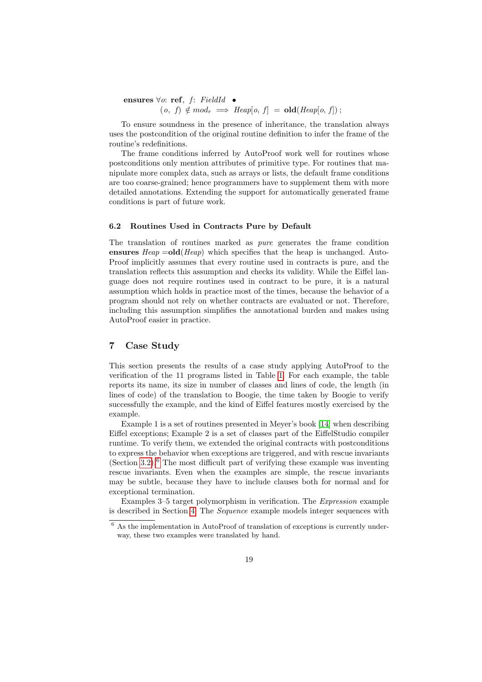ensures  $\forall o:$  ref, f: FieldId •  $(o, f) \notin mod_r \implies \text{Heap}[o, f] = \text{old}(\text{Heap}[o, f])$ ;

To ensure soundness in the presence of inheritance, the translation always uses the postcondition of the original routine definition to infer the frame of the routine's redefinitions.

The frame conditions inferred by AutoProof work well for routines whose postconditions only mention attributes of primitive type. For routines that manipulate more complex data, such as arrays or lists, the default frame conditions are too coarse-grained; hence programmers have to supplement them with more detailed annotations. Extending the support for automatically generated frame conditions is part of future work.

#### 6.2 Routines Used in Contracts Pure by Default

The translation of routines marked as pure generates the frame condition ensures  $Heap =old(Heap)$  which specifies that the heap is unchanged. Auto-Proof implicitly assumes that every routine used in contracts is pure, and the translation reflects this assumption and checks its validity. While the Eiffel language does not require routines used in contract to be pure, it is a natural assumption which holds in practice most of the times, because the behavior of a program should not rely on whether contracts are evaluated or not. Therefore, including this assumption simplifies the annotational burden and makes using AutoProof easier in practice.

# <span id="page-18-0"></span>7 Case Study

This section presents the results of a case study applying AutoProof to the verification of the 11 programs listed in Table [1.](#page-19-1) For each example, the table reports its name, its size in number of classes and lines of code, the length (in lines of code) of the translation to Boogie, the time taken by Boogie to verify successfully the example, and the kind of Eiffel features mostly exercised by the example.

Example 1 is a set of routines presented in Meyer's book [\[14\]](#page-21-13) when describing Eiffel exceptions; Example 2 is a set of classes part of the EiffelStudio compiler runtime. To verify them, we extended the original contracts with postconditions to express the behavior when exceptions are triggered, and with rescue invariants (Section [3.2\)](#page-4-0).<sup>[6](#page-18-1)</sup> The most difficult part of verifying these example was inventing rescue invariants. Even when the examples are simple, the rescue invariants may be subtle, because they have to include clauses both for normal and for exceptional termination.

Examples 3–5 target polymorphism in verification. The Expression example is described in Section [4.](#page-6-0) The Sequence example models integer sequences with

<span id="page-18-1"></span> $6$  As the implementation in AutoProof of translation of exceptions is currently underway, these two examples were translated by hand.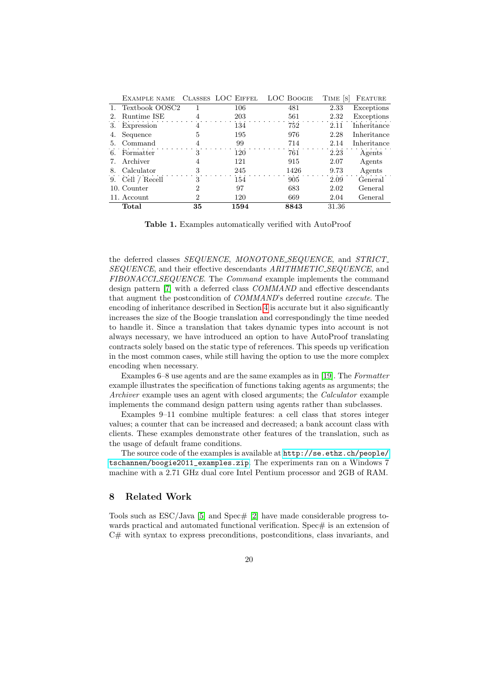|    | EXAMPLE NAME      |                             | CLASSES LOC EIFFEL | <b>LOC BOOGIE</b> | TIME S | FEATURE     |
|----|-------------------|-----------------------------|--------------------|-------------------|--------|-------------|
|    | 1. Textbook OOSC2 |                             | 106                | 481               | 2.33   | Exceptions  |
| 2. | Runtime ISE       |                             | 203                | 561               | 2.32   | Exceptions  |
| 3. | Expression        | 4                           | 134                | 752               | 2.11   | Inheritance |
| 4. | Sequence          | 5                           | 195                | 976               | 2.28   | Inheritance |
| 5. | Command           | 4                           | 99                 | 714               | 2.14   | Inheritance |
|    | 6. Formatter      | 3                           | 120                | 761               | 2.23   | Agents      |
|    | Archiver          | 4                           | 121                | 915               | 2.07   | Agents      |
| 8. | Calculator        | 3                           | 245                | 1426              | 9.73   | Agents      |
|    | 9. Cell / Recell  | 3                           | 154                | 905               | 2.09   | General     |
|    | 10. Counter       | $\mathcal{D}_{\mathcal{L}}$ | 97                 | 683               | 2.02   | General     |
|    | 11. Account       | $\mathcal{D}_{\mathcal{L}}$ | 120                | 669               | 2.04   | General     |
|    | Total             | 35                          | 1594               | 8843              | 31.36  |             |

<span id="page-19-1"></span>Table 1. Examples automatically verified with AutoProof

the deferred classes SEQUENCE, MONOTONE\_SEQUENCE, and STRICT\_ SEQUENCE, and their effective descendants ARITHMETIC\_SEQUENCE, and FIBONACCI\_SEQUENCE. The Command example implements the command design pattern [\[7\]](#page-21-14) with a deferred class COMMAND and effective descendants that augment the postcondition of COMMAND's deferred routine execute. The encoding of inheritance described in Section [4](#page-6-0) is accurate but it also significantly increases the size of the Boogie translation and correspondingly the time needed to handle it. Since a translation that takes dynamic types into account is not always necessary, we have introduced an option to have AutoProof translating contracts solely based on the static type of references. This speeds up verification in the most common cases, while still having the option to use the more complex encoding when necessary.

Examples 6–8 use agents and are the same examples as in [\[19\]](#page-21-8). The Formatter example illustrates the specification of functions taking agents as arguments; the Archiver example uses an agent with closed arguments; the *Calculator* example implements the command design pattern using agents rather than subclasses.

Examples 9–11 combine multiple features: a cell class that stores integer values; a counter that can be increased and decreased; a bank account class with clients. These examples demonstrate other features of the translation, such as the usage of default frame conditions.

The source code of the examples is available at [http://se.ethz.ch/people/](http://se.ethz.ch/people/tschannen/boogie2011_examples.zip) [tschannen/boogie2011\\_examples.zip](http://se.ethz.ch/people/tschannen/boogie2011_examples.zip). The experiments ran on a Windows 7 machine with a 2.71 GHz dual core Intel Pentium processor and 2GB of RAM.

# <span id="page-19-0"></span>8 Related Work

Tools such as  $ESC/Java$  [\[5\]](#page-21-1) and  $Spec \# [2]$  $Spec \# [2]$  have made considerable progress towards practical and automated functional verification. Spec $\#$  is an extension of C# with syntax to express preconditions, postconditions, class invariants, and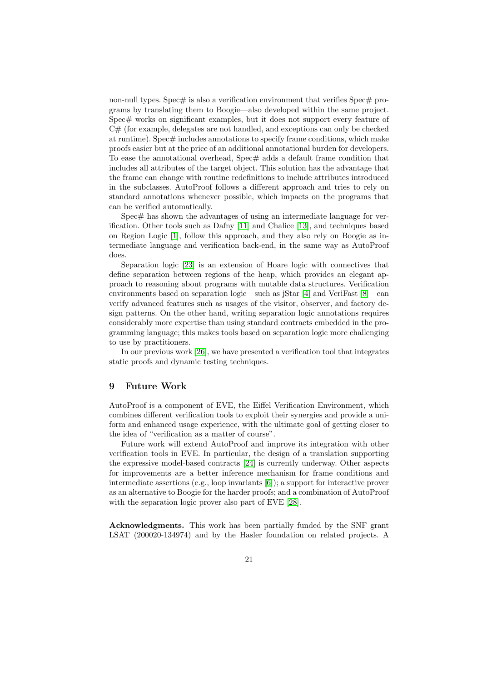non-null types. Spec $\#$  is also a verification environment that verifies Spec $\#$  programs by translating them to Boogie—also developed within the same project. Spec# works on significant examples, but it does not support every feature of  $C#$  (for example, delegates are not handled, and exceptions can only be checked at runtime). Spec# includes annotations to specify frame conditions, which make proofs easier but at the price of an additional annotational burden for developers. To ease the annotational overhead, Spec# adds a default frame condition that includes all attributes of the target object. This solution has the advantage that the frame can change with routine redefinitions to include attributes introduced in the subclasses. AutoProof follows a different approach and tries to rely on standard annotations whenever possible, which impacts on the programs that can be verified automatically.

Spec# has shown the advantages of using an intermediate language for verification. Other tools such as Dafny [\[11\]](#page-21-15) and Chalice [\[13\]](#page-21-16), and techniques based on Region Logic [\[1\]](#page-21-17), follow this approach, and they also rely on Boogie as intermediate language and verification back-end, in the same way as AutoProof does.

Separation logic [\[23\]](#page-22-4) is an extension of Hoare logic with connectives that define separation between regions of the heap, which provides an elegant approach to reasoning about programs with mutable data structures. Verification environments based on separation logic—such as jStar [\[4\]](#page-21-2) and VeriFast [\[8\]](#page-21-3)—can verify advanced features such as usages of the visitor, observer, and factory design patterns. On the other hand, writing separation logic annotations requires considerably more expertise than using standard contracts embedded in the programming language; this makes tools based on separation logic more challenging to use by practitioners.

In our previous work [\[26\]](#page-22-5), we have presented a verification tool that integrates static proofs and dynamic testing techniques.

# <span id="page-20-0"></span>9 Future Work

AutoProof is a component of EVE, the Eiffel Verification Environment, which combines different verification tools to exploit their synergies and provide a uniform and enhanced usage experience, with the ultimate goal of getting closer to the idea of "verification as a matter of course".

Future work will extend AutoProof and improve its integration with other verification tools in EVE. In particular, the design of a translation supporting the expressive model-based contracts [\[24\]](#page-22-6) is currently underway. Other aspects for improvements are a better inference mechanism for frame conditions and intermediate assertions (e.g., loop invariants [\[6\]](#page-21-18)); a support for interactive prover as an alternative to Boogie for the harder proofs; and a combination of AutoProof with the separation logic prover also part of EVE [\[28\]](#page-22-7).

Acknowledgments. This work has been partially funded by the SNF grant LSAT (200020-134974) and by the Hasler foundation on related projects. A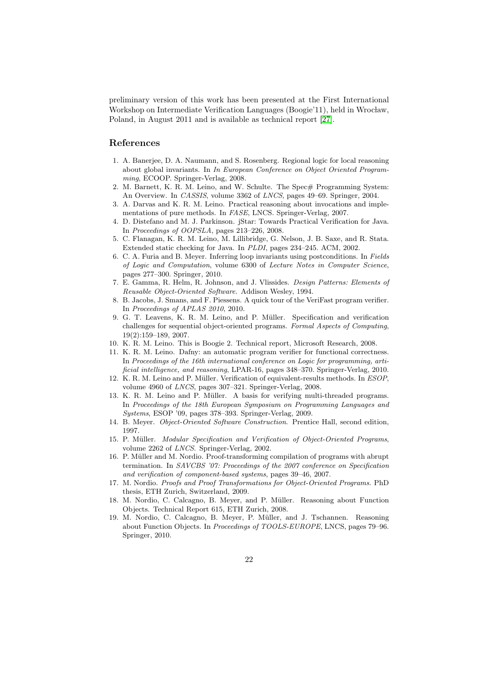preliminary version of this work has been presented at the First International Workshop on Intermediate Verification Languages (Boogie'11), held in Wrocław, Poland, in August 2011 and is available as technical report [\[27\]](#page-22-8).

# References

- <span id="page-21-17"></span>1. A. Banerjee, D. A. Naumann, and S. Rosenberg. Regional logic for local reasoning about global invariants. In In European Conference on Object Oriented Programming, ECOOP. Springer-Verlag, 2008.
- <span id="page-21-0"></span>2. M. Barnett, K. R. M. Leino, and W. Schulte. The Spec# Programming System: An Overview. In *CASSIS*, volume 3362 of *LNCS*, pages 49–69. Springer, 2004.
- <span id="page-21-9"></span>3. A. Darvas and K. R. M. Leino. Practical reasoning about invocations and implementations of pure methods. In FASE, LNCS. Springer-Verlag, 2007.
- <span id="page-21-2"></span>4. D. Distefano and M. J. Parkinson. jStar: Towards Practical Verification for Java. In Proceedings of OOPSLA, pages 213–226, 2008.
- <span id="page-21-1"></span>5. C. Flanagan, K. R. M. Leino, M. Lillibridge, G. Nelson, J. B. Saxe, and R. Stata. Extended static checking for Java. In PLDI, pages 234–245. ACM, 2002.
- <span id="page-21-18"></span>6. C. A. Furia and B. Meyer. Inferring loop invariants using postconditions. In Fields of Logic and Computation, volume 6300 of Lecture Notes in Computer Science, pages 277–300. Springer, 2010.
- <span id="page-21-14"></span>7. E. Gamma, R. Helm, R. Johnson, and J. Vlissides. Design Patterns: Elements of Reusable Object-Oriented Software. Addison Wesley, 1994.
- <span id="page-21-3"></span>8. B. Jacobs, J. Smans, and F. Piessens. A quick tour of the VeriFast program verifier. In Proceedings of APLAS 2010, 2010.
- <span id="page-21-11"></span>9. G. T. Leavens, K. R. M. Leino, and P. Müller. Specification and verification challenges for sequential object-oriented programs. Formal Aspects of Computing, 19(2):159–189, 2007.
- <span id="page-21-4"></span>10. K. R. M. Leino. This is Boogie 2. Technical report, Microsoft Research, 2008.
- <span id="page-21-15"></span>11. K. R. M. Leino. Dafny: an automatic program verifier for functional correctness. In Proceedings of the 16th international conference on Logic for programming, artificial intelligence, and reasoning, LPAR-16, pages 348–370. Springer-Verlag, 2010.
- <span id="page-21-10"></span>12. K. R. M. Leino and P. M¨uller. Verification of equivalent-results methods. In ESOP, volume 4960 of LNCS, pages 307–321. Springer-Verlag, 2008.
- <span id="page-21-16"></span>13. K. R. M. Leino and P. M¨uller. A basis for verifying multi-threaded programs. In Proceedings of the 18th European Symposium on Programming Languages and Systems, ESOP '09, pages 378–393. Springer-Verlag, 2009.
- <span id="page-21-13"></span>14. B. Meyer. Object-Oriented Software Construction. Prentice Hall, second edition, 1997.
- <span id="page-21-7"></span>15. P. Müller. Modular Specification and Verification of Object-Oriented Programs, volume 2262 of LNCS. Springer-Verlag, 2002.
- <span id="page-21-5"></span>16. P. Müller and M. Nordio. Proof-transforming compilation of programs with abrupt termination. In SAVCBS '07: Proceedings of the 2007 conference on Specification and verification of component-based systems, pages 39–46, 2007.
- <span id="page-21-6"></span>17. M. Nordio. Proofs and Proof Transformations for Object-Oriented Programs. PhD thesis, ETH Zurich, Switzerland, 2009.
- <span id="page-21-12"></span>18. M. Nordio, C. Calcagno, B. Meyer, and P. Müller. Reasoning about Function Objects. Technical Report 615, ETH Zurich, 2008.
- <span id="page-21-8"></span>19. M. Nordio, C. Calcagno, B. Meyer, P. Müller, and J. Tschannen. Reasoning about Function Objects. In Proceedings of TOOLS-EUROPE, LNCS, pages 79–96. Springer, 2010.